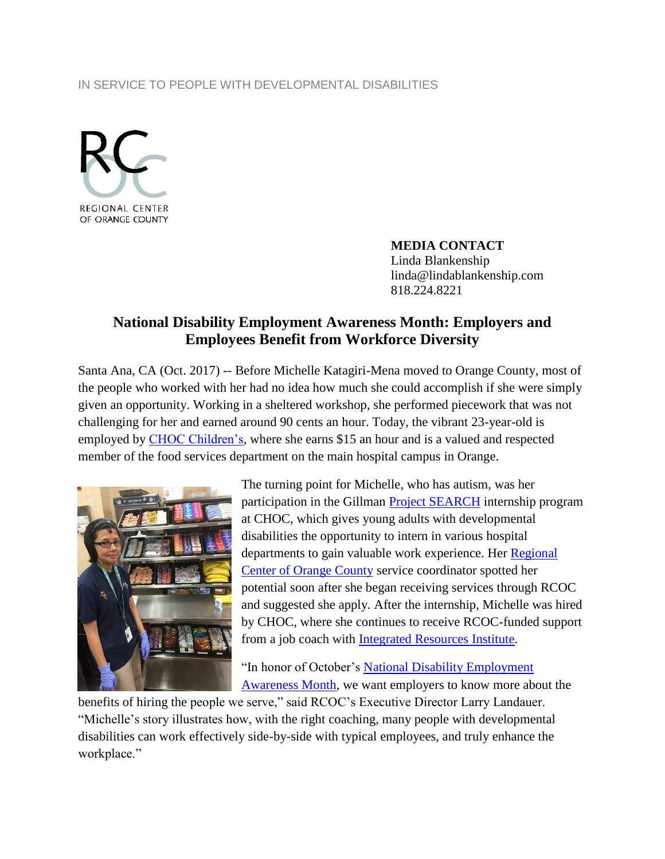## IN SERVICE TO PEOPLE WITH DEVELOPMENTAL DISABILITIES



**MEDIA CONTACT** Linda Blankenship linda@lindablankenship.com 818.224.8221

## **National Disability Employment Awareness Month: Employers and Employees Benefit from Workforce Diversity**

Santa Ana, CA (Oct. 2017) -- Before Michelle Katagiri-Mena moved to Orange County, most of the people who worked with her had no idea how much she could accomplish if she were simply given an opportunity. Working in a sheltered workshop, she performed piecework that was not challenging for her and earned around 90 cents an hour. Today, the vibrant 23-year-old is employed by [CHOC Children's,](https://www.choc.org/) where she earns \$15 an hour and is a valued and respected member of the food services department on the main hospital campus in Orange.



The turning point for Michelle, who has autism, was her participation in the Gillman [Project SEARCH](http://www.projectsearch.us/) internship program at CHOC, which gives young adults with developmental disabilities the opportunity to intern in various hospital departments to gain valuable work experience. Her Regional [Center of Orange County](http://www.rcocdd.com/) service coordinator spotted her potential soon after she began receiving services through RCOC and suggested she apply. After the internship, Michelle was hired by CHOC, where she continues to receive RCOC-funded support from a job coach with **Integrated Resources Institute.** 

"In honor of October's National Disability Employment [Awareness Month,](https://www.dol.gov/odep/topics/ndeam/) we want employers to know more about the

benefits of hiring the people we serve," said RCOC's Executive Director Larry Landauer. "Michelle's story illustrates how, with the right coaching, many people with developmental disabilities can work effectively side-by-side with typical employees, and truly enhance the workplace."